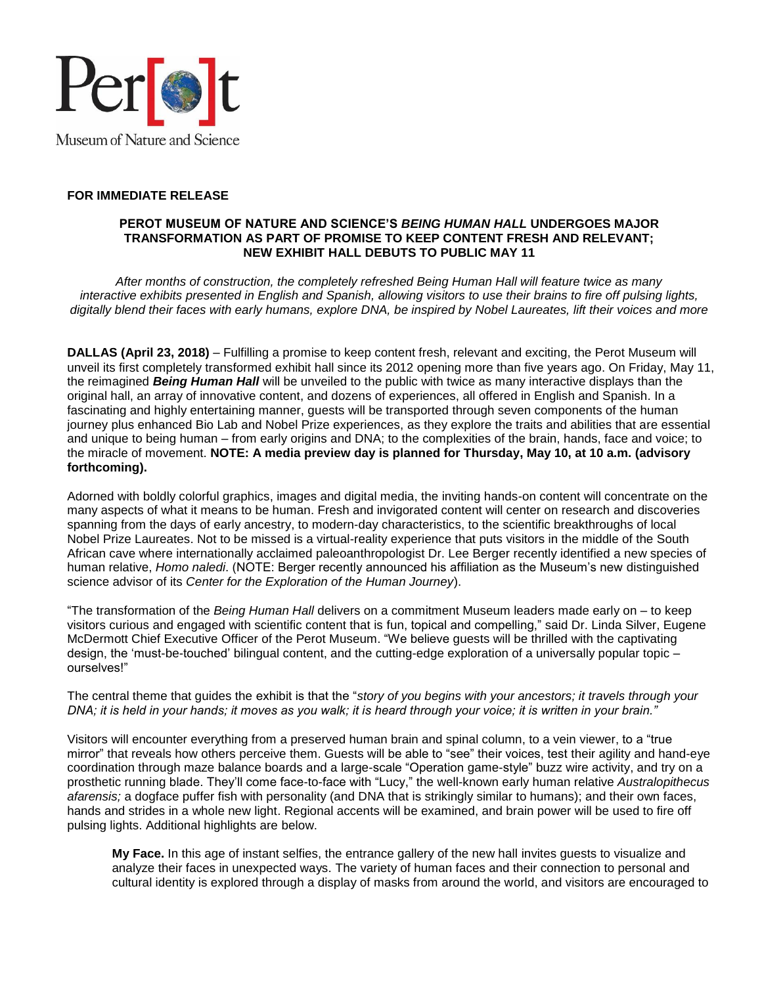

## **FOR IMMEDIATE RELEASE**

## **PEROT MUSEUM OF NATURE AND SCIENCE'S** *BEING HUMAN HALL* **UNDERGOES MAJOR TRANSFORMATION AS PART OF PROMISE TO KEEP CONTENT FRESH AND RELEVANT; NEW EXHIBIT HALL DEBUTS TO PUBLIC MAY 11**

*After months of construction, the completely refreshed Being Human Hall will feature twice as many interactive exhibits presented in English and Spanish, allowing visitors to use their brains to fire off pulsing lights, digitally blend their faces with early humans, explore DNA, be inspired by Nobel Laureates, lift their voices and more*

**DALLAS (April 23, 2018)** – Fulfilling a promise to keep content fresh, relevant and exciting, the Perot Museum will unveil its first completely transformed exhibit hall since its 2012 opening more than five years ago. On Friday, May 11, the reimagined *Being Human Hall* will be unveiled to the public with twice as many interactive displays than the original hall, an array of innovative content, and dozens of experiences, all offered in English and Spanish. In a fascinating and highly entertaining manner, guests will be transported through seven components of the human journey plus enhanced Bio Lab and Nobel Prize experiences, as they explore the traits and abilities that are essential and unique to being human – from early origins and DNA; to the complexities of the brain, hands, face and voice; to the miracle of movement. **NOTE: A media preview day is planned for Thursday, May 10, at 10 a.m. (advisory forthcoming).** 

Adorned with boldly colorful graphics, images and digital media, the inviting hands-on content will concentrate on the many aspects of what it means to be human. Fresh and invigorated content will center on research and discoveries spanning from the days of early ancestry, to modern-day characteristics, to the scientific breakthroughs of local Nobel Prize Laureates. Not to be missed is a virtual-reality experience that puts visitors in the middle of the South African cave where internationally acclaimed paleoanthropologist Dr. Lee Berger recently identified a new species of human relative, *Homo naledi*. (NOTE: Berger recently announced his affiliation as the Museum's new distinguished science advisor of its *Center for the Exploration of the Human Journey*).

"The transformation of the *Being Human Hall* delivers on a commitment Museum leaders made early on – to keep visitors curious and engaged with scientific content that is fun, topical and compelling," said Dr. Linda Silver, Eugene McDermott Chief Executive Officer of the Perot Museum. "We believe guests will be thrilled with the captivating design, the 'must-be-touched' bilingual content, and the cutting-edge exploration of a universally popular topic – ourselves!"

The central theme that guides the exhibit is that the "*story of you begins with your ancestors; it travels through your DNA; it is held in your hands; it moves as you walk; it is heard through your voice; it is written in your brain."*

Visitors will encounter everything from a preserved human brain and spinal column, to a vein viewer, to a "true mirror" that reveals how others perceive them. Guests will be able to "see" their voices, test their agility and hand-eye coordination through maze balance boards and a large-scale "Operation game-style" buzz wire activity, and try on a prosthetic running blade. They'll come face-to-face with "Lucy," the well-known early human relative *Australopithecus afarensis;* a dogface puffer fish with personality (and DNA that is strikingly similar to humans); and their own faces, hands and strides in a whole new light. Regional accents will be examined, and brain power will be used to fire off pulsing lights. Additional highlights are below.

**My Face.** In this age of instant selfies, the entrance gallery of the new hall invites guests to visualize and analyze their faces in unexpected ways. The variety of human faces and their connection to personal and cultural identity is explored through a display of masks from around the world, and visitors are encouraged to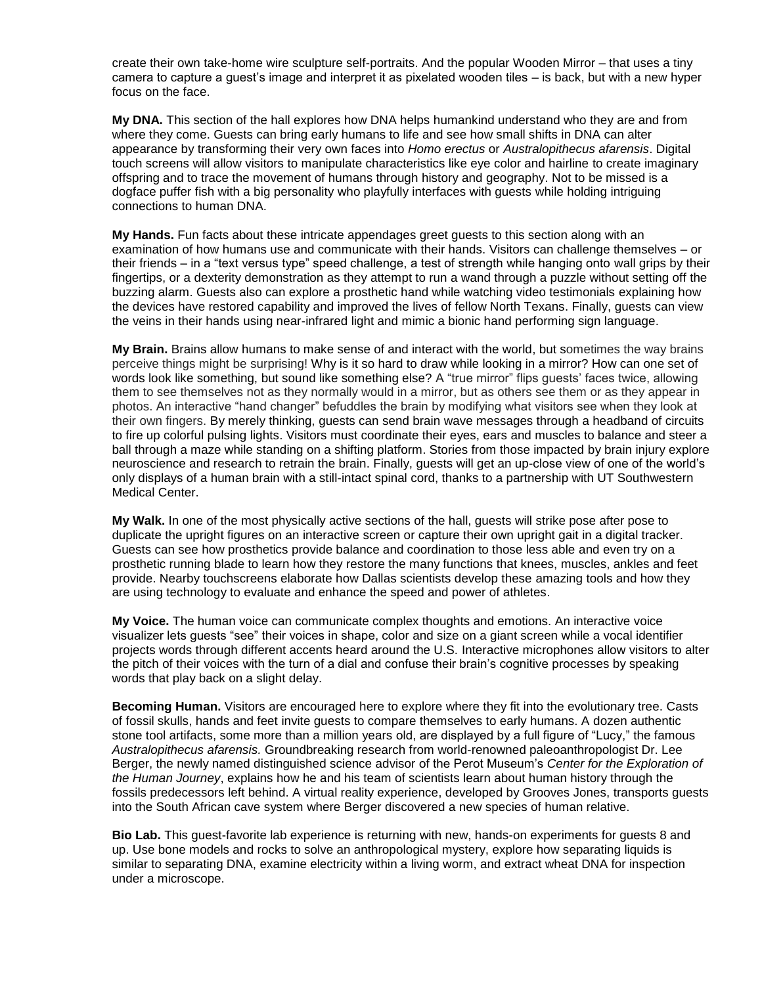create their own take-home wire sculpture self-portraits. And the popular Wooden Mirror – that uses a tiny camera to capture a guest's image and interpret it as pixelated wooden tiles – is back, but with a new hyper focus on the face.

**My DNA.** This section of the hall explores how DNA helps humankind understand who they are and from where they come. Guests can bring early humans to life and see how small shifts in DNA can alter appearance by transforming their very own faces into *Homo erectus* or *Australopithecus afarensis*. Digital touch screens will allow visitors to manipulate characteristics like eye color and hairline to create imaginary offspring and to trace the movement of humans through history and geography. Not to be missed is a dogface puffer fish with a big personality who playfully interfaces with guests while holding intriguing connections to human DNA.

**My Hands.** Fun facts about these intricate appendages greet guests to this section along with an examination of how humans use and communicate with their hands. Visitors can challenge themselves – or their friends – in a "text versus type" speed challenge, a test of strength while hanging onto wall grips by their fingertips, or a dexterity demonstration as they attempt to run a wand through a puzzle without setting off the buzzing alarm. Guests also can explore a prosthetic hand while watching video testimonials explaining how the devices have restored capability and improved the lives of fellow North Texans. Finally, guests can view the veins in their hands using near-infrared light and mimic a bionic hand performing sign language.

**My Brain.** Brains allow humans to make sense of and interact with the world, but sometimes the way brains perceive things might be surprising! Why is it so hard to draw while looking in a mirror? How can one set of words look like something, but sound like something else? A "true mirror" flips guests' faces twice, allowing them to see themselves not as they normally would in a mirror, but as others see them or as they appear in photos. An interactive "hand changer" befuddles the brain by modifying what visitors see when they look at their own fingers. By merely thinking, guests can send brain wave messages through a headband of circuits to fire up colorful pulsing lights. Visitors must coordinate their eyes, ears and muscles to balance and steer a ball through a maze while standing on a shifting platform. Stories from those impacted by brain injury explore neuroscience and research to retrain the brain. Finally, guests will get an up-close view of one of the world's only displays of a human brain with a still-intact spinal cord, thanks to a partnership with UT Southwestern Medical Center.

**My Walk.** In one of the most physically active sections of the hall, guests will strike pose after pose to duplicate the upright figures on an interactive screen or capture their own upright gait in a digital tracker. Guests can see how prosthetics provide balance and coordination to those less able and even try on a prosthetic running blade to learn how they restore the many functions that knees, muscles, ankles and feet provide. Nearby touchscreens elaborate how Dallas scientists develop these amazing tools and how they are using technology to evaluate and enhance the speed and power of athletes.

**My Voice.** The human voice can communicate complex thoughts and emotions. An interactive voice visualizer lets guests "see" their voices in shape, color and size on a giant screen while a vocal identifier projects words through different accents heard around the U.S. Interactive microphones allow visitors to alter the pitch of their voices with the turn of a dial and confuse their brain's cognitive processes by speaking words that play back on a slight delay.

**Becoming Human.** Visitors are encouraged here to explore where they fit into the evolutionary tree. Casts of fossil skulls, hands and feet invite guests to compare themselves to early humans. A dozen authentic stone tool artifacts, some more than a million years old, are displayed by a full figure of "Lucy," the famous *Australopithecus afarensis.* Groundbreaking research from world-renowned paleoanthropologist Dr. Lee Berger, the newly named distinguished science advisor of the Perot Museum's *Center for the Exploration of the Human Journey*, explains how he and his team of scientists learn about human history through the fossils predecessors left behind. A virtual reality experience, developed by Grooves Jones, transports guests into the South African cave system where Berger discovered a new species of human relative.

**Bio Lab.** This guest-favorite lab experience is returning with new, hands-on experiments for guests 8 and up. Use bone models and rocks to solve an anthropological mystery, explore how separating liquids is similar to separating DNA, examine electricity within a living worm, and extract wheat DNA for inspection under a microscope.